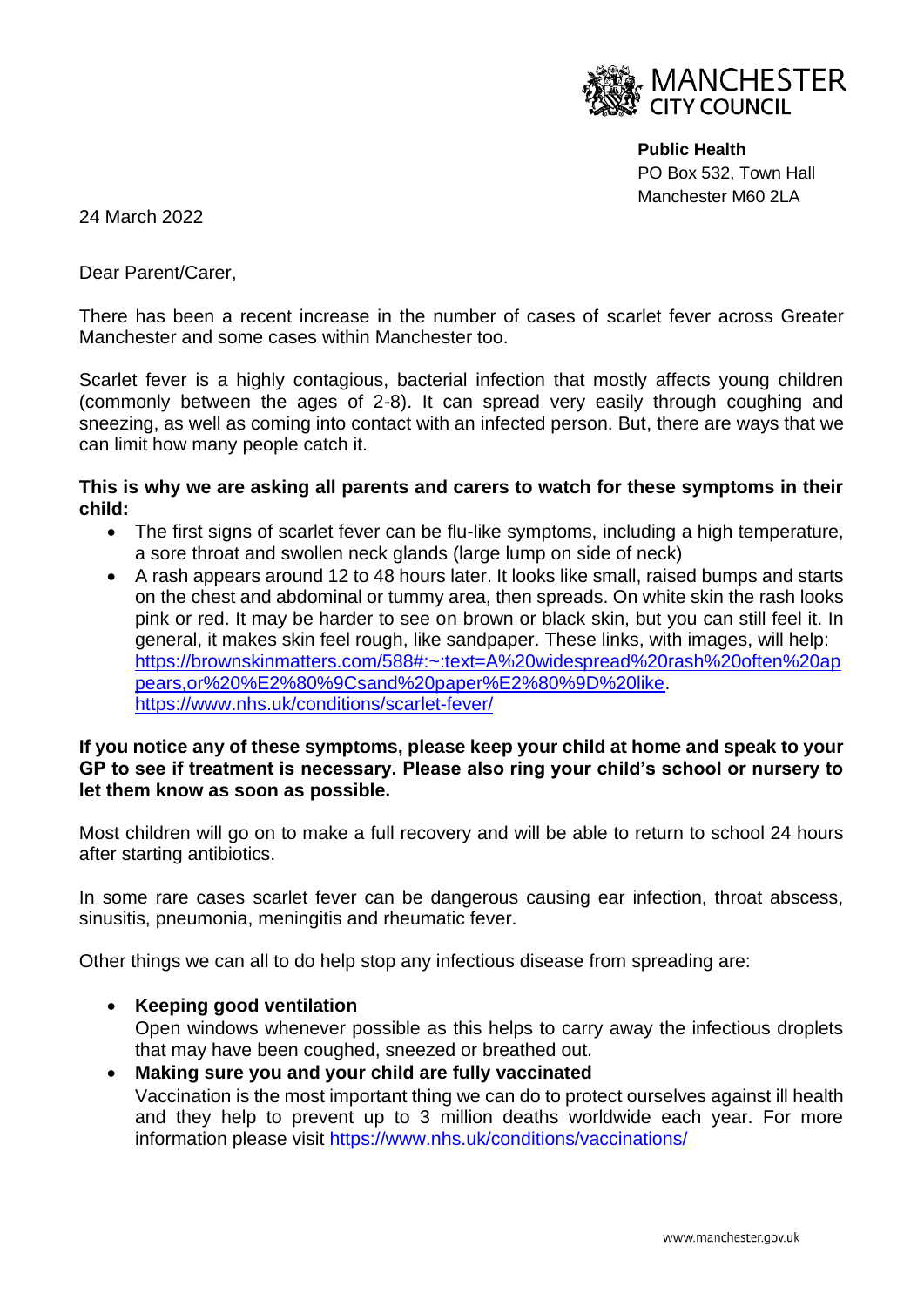

**Public Health** PO Box 532, Town Hall Manchester M60 2LA

24 March 2022

Dear Parent/Carer,

There has been a recent increase in the number of cases of scarlet fever across Greater Manchester and some cases within Manchester too.

Scarlet fever is a highly contagious, bacterial infection that mostly affects young children (commonly between the ages of 2-8). It can spread very easily through coughing and sneezing, as well as coming into contact with an infected person. But, there are ways that we can limit how many people catch it.

## **This is why we are asking all parents and carers to watch for these symptoms in their child:**

- The first signs of scarlet fever can be flu-like symptoms, including a high temperature, a sore throat and swollen neck glands (large lump on side of neck)
- A rash appears around 12 to 48 hours later. It looks like small, raised bumps and starts on the chest and abdominal or tummy area, then spreads. On white skin the rash looks pink or red. It may be harder to see on brown or black skin, but you can still feel it. In general, it makes skin feel rough, like sandpaper. These links, with images, will help: [https://brownskinmatters.com/588#:~:text=A%20widespread%20rash%20often%20ap](https://brownskinmatters.com/588#:~:text=A%20widespread%20rash%20often%20appears,or%20%E2%80%9Csand%20paper%E2%80%9D%20like) [pears,or%20%E2%80%9Csand%20paper%E2%80%9D%20like.](https://brownskinmatters.com/588#:~:text=A%20widespread%20rash%20often%20appears,or%20%E2%80%9Csand%20paper%E2%80%9D%20like) <https://www.nhs.uk/conditions/scarlet-fever/>

## **If you notice any of these symptoms, please keep your child at home and speak to your GP to see if treatment is necessary. Please also ring your child's school or nursery to let them know as soon as possible.**

Most children will go on to make a full recovery and will be able to return to school 24 hours after starting antibiotics.

In some rare cases scarlet fever can be dangerous causing ear infection, throat abscess, sinusitis, pneumonia, meningitis and rheumatic fever.

Other things we can all to do help stop any infectious disease from spreading are:

- **Keeping good ventilation** Open windows whenever possible as this helps to carry away the infectious droplets that may have been coughed, sneezed or breathed out.
- **Making sure you and your child are fully vaccinated**  Vaccination is the most important thing we can do to protect ourselves against ill health and they help to prevent up to 3 million deaths worldwide each year. For more information please visit [https://www.nhs.uk/conditions/vaccinations/](https://eur03.safelinks.protection.outlook.com/?url=https%3A%2F%2Fwww.nhs.uk%2Fconditions%2Fvaccinations%2F&data=04%7C01%7Cpenny.shannon%40manchester.gov.uk%7C8fbd8b91356643fcd18108da0cc3985f%7Cb0ce7d5e81cd47fb94f7276c626b7b09%7C0%7C0%7C637836331455460613%7CUnknown%7CTWFpbGZsb3d8eyJWIjoiMC4wLjAwMDAiLCJQIjoiV2luMzIiLCJBTiI6Ik1haWwiLCJXVCI6Mn0%3D%7C3000&sdata=BeOD3FJwi%2FeLb%2BecQjufrtWBB2o6G%2FD2I8Z1gTHL0L4%3D&reserved=0)